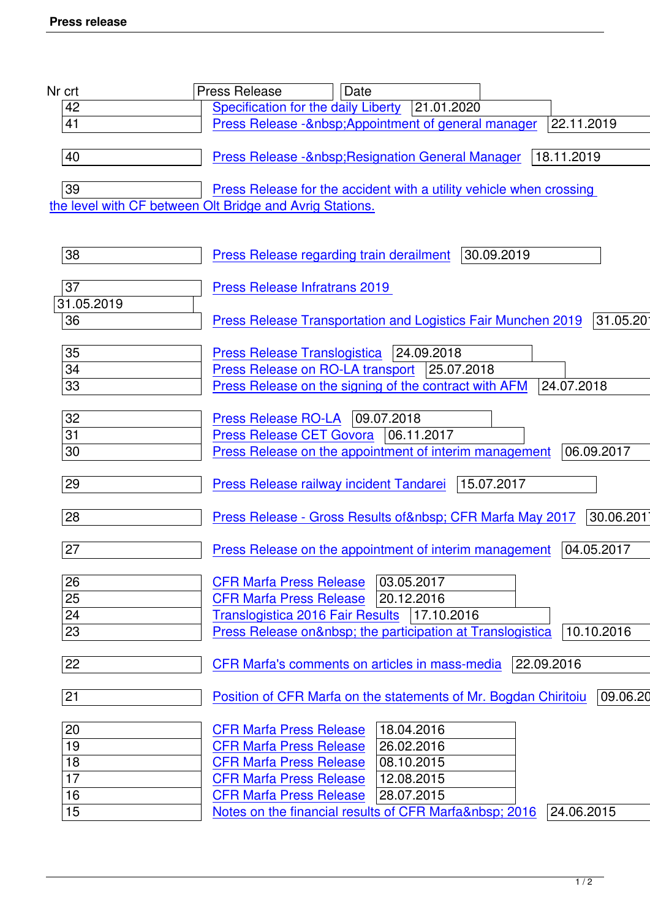| Nr crt     | Date<br><b>Press Release</b>                                                  |
|------------|-------------------------------------------------------------------------------|
| 42         | Specification for the daily Liberty<br> 21.01.2020                            |
| 41         | Press Release - Appointment of general manager<br>22.11.2019                  |
|            |                                                                               |
| 40         | 18.11.2019<br>Press Release -  Resignation General Manager                    |
| 39         | Press Release for the accident with a utility vehicle when crossing           |
|            | the level with CF between Olt Bridge and Avrig Stations.                      |
|            |                                                                               |
| 38         | 30.09.2019<br><b>Press Release regarding train derailment</b>                 |
| 37         | <b>Press Release Infratrans 2019</b>                                          |
| 31.05.2019 |                                                                               |
| 36         | 31.05.2019<br>Press Release Transportation and Logistics Fair Munchen 2019    |
| 35         | <b>Press Release Translogistica</b><br> 24.09.2018                            |
| 34         | Press Release on RO-LA transport<br>25.07.2018                                |
| 33         | 24.07.2018<br>Press Release on the signing of the contract with AFM           |
| 32         | Press Release RO-LA   09.07.2018                                              |
| 31         | <b>Press Release CET Govora</b><br>06.11.2017                                 |
| 30         | Press Release on the appointment of interim management<br>06.09.2017          |
| 29         | 15.07.2017<br><b>Press Release railway incident Tandarei</b>                  |
| 28         | 30.06.2017<br>Press Release - Gross Results of   CFR Marfa May 2017           |
| 27         | 04.05.2017<br><b>Press Release on the appointment of interim management</b>   |
| 26         | 03.05.2017<br><b>CFR Marfa Press Release</b>                                  |
| 25         | <b>CFR Marfa Press Release</b><br>20.12.2016                                  |
| 24         | Translogistica 2016 Fair Results   17.10.2016                                 |
| 23         | Press Release on  the participation at Translogistica<br>10.10.2016           |
| 22         | 22.09.2016<br>CFR Marfa's comments on articles in mass-media                  |
| 21         | 09.06.2016<br>Position of CFR Marfa on the statements of Mr. Bogdan Chiritoiu |
| 20         | 18.04.2016<br><b>CFR Marfa Press Release</b>                                  |
| 19         | 26.02.2016<br><b>CFR Marfa Press Release</b>                                  |
| 18         | <b>CFR Marfa Press Release</b><br>08.10.2015                                  |
| 17         | 12.08.2015<br><b>CFR Marfa Press Release</b>                                  |
| 16         | <b>CFR Marfa Press Release</b><br>28.07.2015                                  |
| 15         | Notes on the financial results of CFR Marfa  2016<br>24.06.2015               |